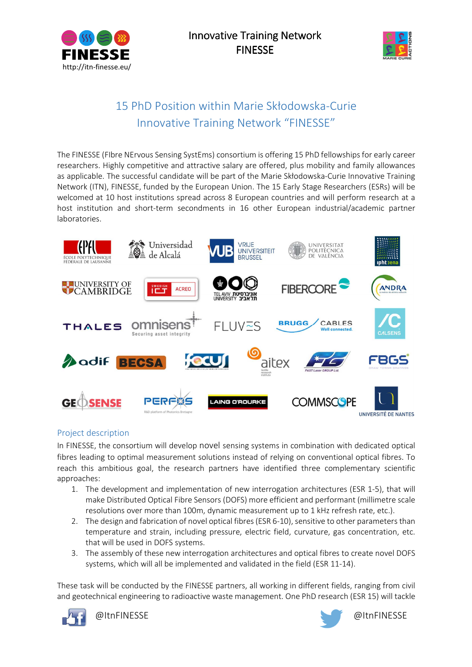



# 15 PhD Position within Marie Skłodowska-Curie Innovative Training Network "FINESSE"

The FINESSE (FIbre NErvous Sensing SystEms) consortium is offering 15 PhD fellowships for early career researchers. Highly competitive and attractive salary are offered, plus mobility and family allowances as applicable. The successful candidate will be part of the Marie Skłodowska-Curie Innovative Training Network (ITN), FINESSE, funded by the European Union. The 15 Early Stage Researchers (ESRs) will be welcomed at 10 host institutions spread across 8 European countries and will perform research at a host institution and short-term secondments in 16 other European industrial/academic partner laboratories.



# Project description

In FINESSE, the consortium will develop novel sensing systems in combination with dedicated optical fibres leading to optimal measurement solutions instead of relying on conventional optical fibres. To reach this ambitious goal, the research partners have identified three complementary scientific approaches:

- 1. The development and implementation of new interrogation architectures (ESR 1-5), that will make Distributed Optical Fibre Sensors (DOFS) more efficient and performant (millimetre scale resolutions over more than 100m, dynamic measurement up to 1 kHz refresh rate, etc.).
- 2. The design and fabrication of novel optical fibres (ESR 6-10), sensitive to other parameters than temperature and strain, including pressure, electric field, curvature, gas concentration, etc. that will be used in DOFS systems.
- 3. The assembly of these new interrogation architectures and optical fibres to create novel DOFS systems, which will all be implemented and validated in the field (ESR 11-14).

These task will be conducted by the FINESSE partners, all working in different fields, ranging from civil and geotechnical engineering to radioactive waste management. One PhD research (ESR 15) will tackle



@ItnFINESSE @ItnFINESSE

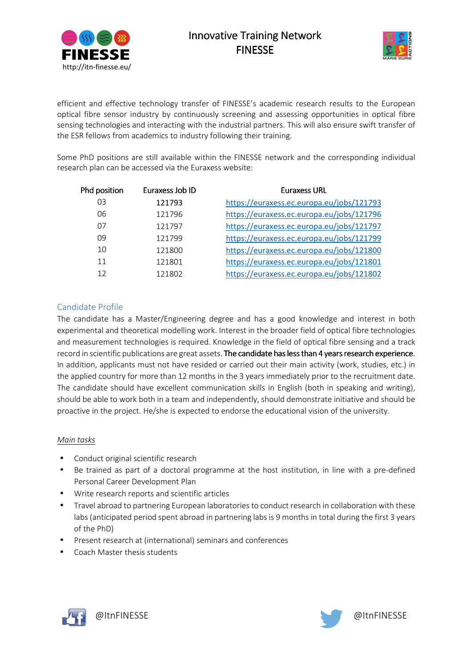

# **Innovative Training Network FINESSE**



efficient and effective technology transfer of FINESSE's academic research results to the European optical fibre sensor industry by continuously screening and assessing opportunities in optical fibre sensing technologies and interacting with the industrial partners. This will also ensure swift transfer of the ESR fellows from academics to industry following their training.

Some PhD positions are still available within the FINESSE network and the corresponding individual research plan can be accessed via the Euraxess website:

| Phd position | Euraxess Job ID | Euraxess URL                              |
|--------------|-----------------|-------------------------------------------|
| 03           | 121793          | https://euraxess.ec.europa.eu/jobs/121793 |
| 06           | 121796          | https://euraxess.ec.europa.eu/jobs/121796 |
| 07           | 121797          | https://euraxess.ec.europa.eu/jobs/121797 |
| 09           | 121799          | https://euraxess.ec.europa.eu/jobs/121799 |
| 10           | 121800          | https://euraxess.ec.europa.eu/jobs/121800 |
| 11           | 121801          | https://euraxess.ec.europa.eu/jobs/121801 |
| 12           | 121802          | https://euraxess.ec.europa.eu/jobs/121802 |
|              |                 |                                           |

# Candidate Profile

The candidate has a Master/Engineering degree and has a good knowledge and interest in both experimental and theoretical modelling work. Interest in the broader field of optical fibre technologies and measurement technologies is required. Knowledge in the field of optical fibre sensing and a track record in scientific publications are great assets. The candidate has less than 4 years research experience. In addition, applicants must not have resided or carried out their main activity (work, studies, etc.) in the applied country for more than 12 months in the 3 years immediately prior to the recruitment date. The candidate should have excellent communication skills in English (both in speaking and writing), should be able to work both in a team and independently, should demonstrate initiative and should be proactive in the project. He/she is expected to endorse the educational vision of the university.

#### *Main tasks*

- Conduct original scientific research
- Be trained as part of a doctoral programme at the host institution, in line with a pre-defined Personal Career Development Plan
- Write research reports and scientific articles
- Travel abroad to partnering European laboratories to conduct research in collaboration with these labs (anticipated period spent abroad in partnering labs is 9 months in total during the first 3 years of the PhD)
- Present research at (international) seminars and conferences
- Coach Master thesis students